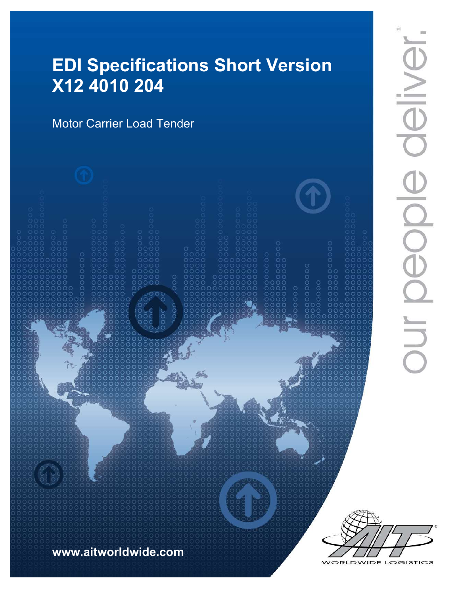# EDI Specifications Short Version X12 4010 204

Motor Carrier Load Tender





VIDE LOGISTICS ORLD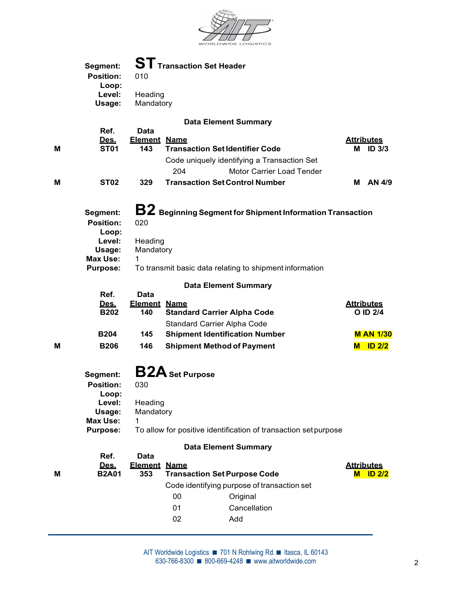

| <b>ST</b> Transaction Set Header<br>Segment:<br><b>Position:</b><br>010<br>Loop:<br>Level:<br>Heading<br>Usage:<br>Mandatory<br><b>Data Element Summary</b><br>Ref.<br>Data<br><b>Attributes</b><br>Des.<br><b>Element Name</b><br>M<br><b>ST01</b><br><b>Transaction Set Identifier Code</b><br>M ID 3/3<br>143<br>Code uniquely identifying a Transaction Set<br>204<br>Motor Carrier Load Tender<br>M<br><b>ST02</b><br><b>Transaction Set Control Number</b><br>M AN 4/9<br>329<br>$\mathbf{B2}$ Beginning Segment for Shipment Information Transaction<br>Segment:<br><b>Position:</b><br>020<br>Loop:<br>Level:<br>Heading<br>Usage:<br>Mandatory<br>Max Use:<br>$\mathbf 1$<br>To transmit basic data relating to shipment information<br><b>Purpose:</b><br><b>Data Element Summary</b><br>Ref.<br>Data<br><b>Element Name</b><br><b>Attributes</b><br><u>Des.</u><br><b>B202</b><br><b>Standard Carrier Alpha Code</b><br>O ID 2/4<br>140<br>Standard Carrier Alpha Code<br><b>B204</b><br><b>Shipment Identification Number</b><br><b>M AN 1/30</b><br>145<br>M<br><b>B206</b><br>146<br><b>Shipment Method of Payment</b><br><b>M</b> ID 2/2<br><b>B2A</b> Set Purpose<br>Segment:<br><b>Position:</b><br>030<br>Loop:<br>Level:<br>Heading<br>Usage:<br>Mandatory<br><b>Max Use:</b><br>1<br><b>Purpose:</b><br>To allow for positive identification of transaction set purpose<br><b>Data Element Summary</b><br>Ref.<br><b>Data</b><br><b>Attributes</b><br>Des.<br><b>Element Name</b><br>M<br><b>B2A01</b><br>353<br><b>Transaction Set Purpose Code</b><br><b>M</b> ID 2/2<br>Code identifying purpose of transaction set<br>$00\,$<br>Original<br>01<br>Cancellation<br>02<br>Add |  |  |  |
|-----------------------------------------------------------------------------------------------------------------------------------------------------------------------------------------------------------------------------------------------------------------------------------------------------------------------------------------------------------------------------------------------------------------------------------------------------------------------------------------------------------------------------------------------------------------------------------------------------------------------------------------------------------------------------------------------------------------------------------------------------------------------------------------------------------------------------------------------------------------------------------------------------------------------------------------------------------------------------------------------------------------------------------------------------------------------------------------------------------------------------------------------------------------------------------------------------------------------------------------------------------------------------------------------------------------------------------------------------------------------------------------------------------------------------------------------------------------------------------------------------------------------------------------------------------------------------------------------------------------------------------------------------------------------------------------------------|--|--|--|
|                                                                                                                                                                                                                                                                                                                                                                                                                                                                                                                                                                                                                                                                                                                                                                                                                                                                                                                                                                                                                                                                                                                                                                                                                                                                                                                                                                                                                                                                                                                                                                                                                                                                                                     |  |  |  |
|                                                                                                                                                                                                                                                                                                                                                                                                                                                                                                                                                                                                                                                                                                                                                                                                                                                                                                                                                                                                                                                                                                                                                                                                                                                                                                                                                                                                                                                                                                                                                                                                                                                                                                     |  |  |  |
|                                                                                                                                                                                                                                                                                                                                                                                                                                                                                                                                                                                                                                                                                                                                                                                                                                                                                                                                                                                                                                                                                                                                                                                                                                                                                                                                                                                                                                                                                                                                                                                                                                                                                                     |  |  |  |
|                                                                                                                                                                                                                                                                                                                                                                                                                                                                                                                                                                                                                                                                                                                                                                                                                                                                                                                                                                                                                                                                                                                                                                                                                                                                                                                                                                                                                                                                                                                                                                                                                                                                                                     |  |  |  |
|                                                                                                                                                                                                                                                                                                                                                                                                                                                                                                                                                                                                                                                                                                                                                                                                                                                                                                                                                                                                                                                                                                                                                                                                                                                                                                                                                                                                                                                                                                                                                                                                                                                                                                     |  |  |  |
|                                                                                                                                                                                                                                                                                                                                                                                                                                                                                                                                                                                                                                                                                                                                                                                                                                                                                                                                                                                                                                                                                                                                                                                                                                                                                                                                                                                                                                                                                                                                                                                                                                                                                                     |  |  |  |
|                                                                                                                                                                                                                                                                                                                                                                                                                                                                                                                                                                                                                                                                                                                                                                                                                                                                                                                                                                                                                                                                                                                                                                                                                                                                                                                                                                                                                                                                                                                                                                                                                                                                                                     |  |  |  |
|                                                                                                                                                                                                                                                                                                                                                                                                                                                                                                                                                                                                                                                                                                                                                                                                                                                                                                                                                                                                                                                                                                                                                                                                                                                                                                                                                                                                                                                                                                                                                                                                                                                                                                     |  |  |  |
|                                                                                                                                                                                                                                                                                                                                                                                                                                                                                                                                                                                                                                                                                                                                                                                                                                                                                                                                                                                                                                                                                                                                                                                                                                                                                                                                                                                                                                                                                                                                                                                                                                                                                                     |  |  |  |
|                                                                                                                                                                                                                                                                                                                                                                                                                                                                                                                                                                                                                                                                                                                                                                                                                                                                                                                                                                                                                                                                                                                                                                                                                                                                                                                                                                                                                                                                                                                                                                                                                                                                                                     |  |  |  |
|                                                                                                                                                                                                                                                                                                                                                                                                                                                                                                                                                                                                                                                                                                                                                                                                                                                                                                                                                                                                                                                                                                                                                                                                                                                                                                                                                                                                                                                                                                                                                                                                                                                                                                     |  |  |  |
|                                                                                                                                                                                                                                                                                                                                                                                                                                                                                                                                                                                                                                                                                                                                                                                                                                                                                                                                                                                                                                                                                                                                                                                                                                                                                                                                                                                                                                                                                                                                                                                                                                                                                                     |  |  |  |
|                                                                                                                                                                                                                                                                                                                                                                                                                                                                                                                                                                                                                                                                                                                                                                                                                                                                                                                                                                                                                                                                                                                                                                                                                                                                                                                                                                                                                                                                                                                                                                                                                                                                                                     |  |  |  |
|                                                                                                                                                                                                                                                                                                                                                                                                                                                                                                                                                                                                                                                                                                                                                                                                                                                                                                                                                                                                                                                                                                                                                                                                                                                                                                                                                                                                                                                                                                                                                                                                                                                                                                     |  |  |  |
|                                                                                                                                                                                                                                                                                                                                                                                                                                                                                                                                                                                                                                                                                                                                                                                                                                                                                                                                                                                                                                                                                                                                                                                                                                                                                                                                                                                                                                                                                                                                                                                                                                                                                                     |  |  |  |
|                                                                                                                                                                                                                                                                                                                                                                                                                                                                                                                                                                                                                                                                                                                                                                                                                                                                                                                                                                                                                                                                                                                                                                                                                                                                                                                                                                                                                                                                                                                                                                                                                                                                                                     |  |  |  |
|                                                                                                                                                                                                                                                                                                                                                                                                                                                                                                                                                                                                                                                                                                                                                                                                                                                                                                                                                                                                                                                                                                                                                                                                                                                                                                                                                                                                                                                                                                                                                                                                                                                                                                     |  |  |  |
|                                                                                                                                                                                                                                                                                                                                                                                                                                                                                                                                                                                                                                                                                                                                                                                                                                                                                                                                                                                                                                                                                                                                                                                                                                                                                                                                                                                                                                                                                                                                                                                                                                                                                                     |  |  |  |
|                                                                                                                                                                                                                                                                                                                                                                                                                                                                                                                                                                                                                                                                                                                                                                                                                                                                                                                                                                                                                                                                                                                                                                                                                                                                                                                                                                                                                                                                                                                                                                                                                                                                                                     |  |  |  |
|                                                                                                                                                                                                                                                                                                                                                                                                                                                                                                                                                                                                                                                                                                                                                                                                                                                                                                                                                                                                                                                                                                                                                                                                                                                                                                                                                                                                                                                                                                                                                                                                                                                                                                     |  |  |  |
|                                                                                                                                                                                                                                                                                                                                                                                                                                                                                                                                                                                                                                                                                                                                                                                                                                                                                                                                                                                                                                                                                                                                                                                                                                                                                                                                                                                                                                                                                                                                                                                                                                                                                                     |  |  |  |
|                                                                                                                                                                                                                                                                                                                                                                                                                                                                                                                                                                                                                                                                                                                                                                                                                                                                                                                                                                                                                                                                                                                                                                                                                                                                                                                                                                                                                                                                                                                                                                                                                                                                                                     |  |  |  |
|                                                                                                                                                                                                                                                                                                                                                                                                                                                                                                                                                                                                                                                                                                                                                                                                                                                                                                                                                                                                                                                                                                                                                                                                                                                                                                                                                                                                                                                                                                                                                                                                                                                                                                     |  |  |  |
|                                                                                                                                                                                                                                                                                                                                                                                                                                                                                                                                                                                                                                                                                                                                                                                                                                                                                                                                                                                                                                                                                                                                                                                                                                                                                                                                                                                                                                                                                                                                                                                                                                                                                                     |  |  |  |
|                                                                                                                                                                                                                                                                                                                                                                                                                                                                                                                                                                                                                                                                                                                                                                                                                                                                                                                                                                                                                                                                                                                                                                                                                                                                                                                                                                                                                                                                                                                                                                                                                                                                                                     |  |  |  |
|                                                                                                                                                                                                                                                                                                                                                                                                                                                                                                                                                                                                                                                                                                                                                                                                                                                                                                                                                                                                                                                                                                                                                                                                                                                                                                                                                                                                                                                                                                                                                                                                                                                                                                     |  |  |  |
|                                                                                                                                                                                                                                                                                                                                                                                                                                                                                                                                                                                                                                                                                                                                                                                                                                                                                                                                                                                                                                                                                                                                                                                                                                                                                                                                                                                                                                                                                                                                                                                                                                                                                                     |  |  |  |
|                                                                                                                                                                                                                                                                                                                                                                                                                                                                                                                                                                                                                                                                                                                                                                                                                                                                                                                                                                                                                                                                                                                                                                                                                                                                                                                                                                                                                                                                                                                                                                                                                                                                                                     |  |  |  |
|                                                                                                                                                                                                                                                                                                                                                                                                                                                                                                                                                                                                                                                                                                                                                                                                                                                                                                                                                                                                                                                                                                                                                                                                                                                                                                                                                                                                                                                                                                                                                                                                                                                                                                     |  |  |  |
|                                                                                                                                                                                                                                                                                                                                                                                                                                                                                                                                                                                                                                                                                                                                                                                                                                                                                                                                                                                                                                                                                                                                                                                                                                                                                                                                                                                                                                                                                                                                                                                                                                                                                                     |  |  |  |
|                                                                                                                                                                                                                                                                                                                                                                                                                                                                                                                                                                                                                                                                                                                                                                                                                                                                                                                                                                                                                                                                                                                                                                                                                                                                                                                                                                                                                                                                                                                                                                                                                                                                                                     |  |  |  |
|                                                                                                                                                                                                                                                                                                                                                                                                                                                                                                                                                                                                                                                                                                                                                                                                                                                                                                                                                                                                                                                                                                                                                                                                                                                                                                                                                                                                                                                                                                                                                                                                                                                                                                     |  |  |  |
|                                                                                                                                                                                                                                                                                                                                                                                                                                                                                                                                                                                                                                                                                                                                                                                                                                                                                                                                                                                                                                                                                                                                                                                                                                                                                                                                                                                                                                                                                                                                                                                                                                                                                                     |  |  |  |
|                                                                                                                                                                                                                                                                                                                                                                                                                                                                                                                                                                                                                                                                                                                                                                                                                                                                                                                                                                                                                                                                                                                                                                                                                                                                                                                                                                                                                                                                                                                                                                                                                                                                                                     |  |  |  |
|                                                                                                                                                                                                                                                                                                                                                                                                                                                                                                                                                                                                                                                                                                                                                                                                                                                                                                                                                                                                                                                                                                                                                                                                                                                                                                                                                                                                                                                                                                                                                                                                                                                                                                     |  |  |  |
|                                                                                                                                                                                                                                                                                                                                                                                                                                                                                                                                                                                                                                                                                                                                                                                                                                                                                                                                                                                                                                                                                                                                                                                                                                                                                                                                                                                                                                                                                                                                                                                                                                                                                                     |  |  |  |
|                                                                                                                                                                                                                                                                                                                                                                                                                                                                                                                                                                                                                                                                                                                                                                                                                                                                                                                                                                                                                                                                                                                                                                                                                                                                                                                                                                                                                                                                                                                                                                                                                                                                                                     |  |  |  |
|                                                                                                                                                                                                                                                                                                                                                                                                                                                                                                                                                                                                                                                                                                                                                                                                                                                                                                                                                                                                                                                                                                                                                                                                                                                                                                                                                                                                                                                                                                                                                                                                                                                                                                     |  |  |  |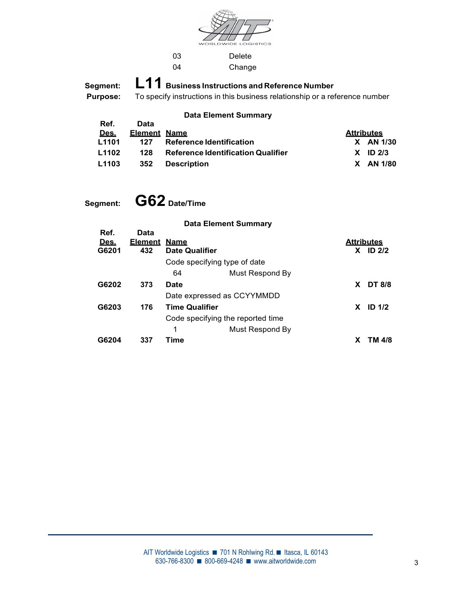

03 Delete 04 Change

Segment: L11 Business Instructions and Reference Number<br>Purpose: To specify instructions in this business relationship or a ref

To specify instructions in this business relationship or a reference number

### Data Element Summary

| Ref.  | Data         |                                           |                   |  |
|-------|--------------|-------------------------------------------|-------------------|--|
| Des.  | Element Name |                                           | <b>Attributes</b> |  |
| L1101 | 127          | <b>Reference Identification</b>           | $X$ AN 1/30       |  |
| L1102 | 128          | <b>Reference Identification Qualifier</b> | $X$ ID 2/3        |  |
| L1103 | 352          | <b>Description</b>                        | X AN 1/80         |  |
|       |              |                                           |                   |  |

Segment: G62 Date/Time

|                              |                               |                                      | <b>Data Element Summary</b>       |                   |            |  |
|------------------------------|-------------------------------|--------------------------------------|-----------------------------------|-------------------|------------|--|
| Ref.<br><u>Des.</u><br>G6201 | <b>Data</b><br>Element<br>432 | <u>Name</u><br><b>Date Qualifier</b> |                                   | <b>Attributes</b> | $X$ ID 2/2 |  |
|                              |                               | Code specifying type of date         |                                   |                   |            |  |
|                              |                               | 64                                   | Must Respond By                   |                   |            |  |
| G6202                        | 373                           | <b>Date</b>                          |                                   |                   | X DT 8/8   |  |
|                              |                               | Date expressed as CCYYMMDD           |                                   |                   |            |  |
| G6203                        | 176                           | <b>Time Qualifier</b>                |                                   | <b>X</b>          | ID $1/2$   |  |
|                              |                               |                                      | Code specifying the reported time |                   |            |  |
|                              |                               |                                      | Must Respond By                   |                   |            |  |
| G6204                        | 337                           | Time                                 |                                   |                   | TM 4/8     |  |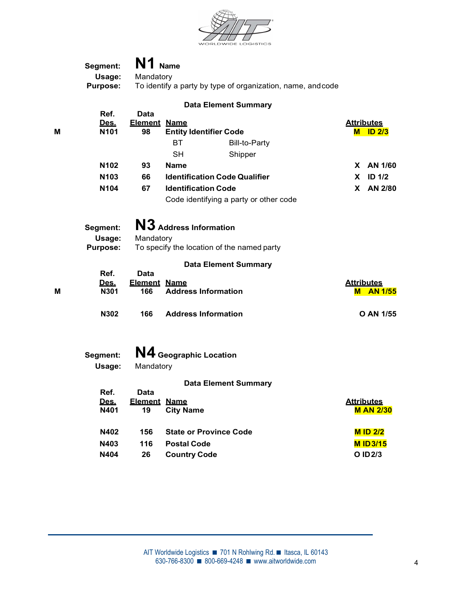

|   | Segment:                   | N1 Name                    |                                                            |                                       |  |  |
|---|----------------------------|----------------------------|------------------------------------------------------------|---------------------------------------|--|--|
|   | Usage:                     | Mandatory                  |                                                            |                                       |  |  |
|   | <b>Purpose:</b>            |                            | To identify a party by type of organization, name, andcode |                                       |  |  |
|   |                            |                            | <b>Data Element Summary</b>                                |                                       |  |  |
|   | Ref.                       | <b>Data</b>                |                                                            |                                       |  |  |
| Μ | Des.<br>N101               | <b>Element Name</b><br>98  | <b>Entity Identifier Code</b>                              | <b>Attributes</b><br><b>M</b> ID 2/3  |  |  |
|   |                            |                            | BT<br><b>Bill-to-Party</b>                                 |                                       |  |  |
|   |                            |                            | <b>SH</b><br>Shipper                                       |                                       |  |  |
|   | N102                       | 93                         | <b>Name</b>                                                | X AN 1/60                             |  |  |
|   | N103                       | 66                         | <b>Identification Code Qualifier</b>                       | <b>ID 1/2</b><br>X.                   |  |  |
|   | N104                       | 67                         | <b>Identification Code</b>                                 | X AN 2/80                             |  |  |
|   |                            |                            | Code identifying a party or other code                     |                                       |  |  |
|   |                            |                            |                                                            |                                       |  |  |
|   | Segment:                   |                            | N3 Address Information                                     |                                       |  |  |
|   | Usage:                     | Mandatory                  |                                                            |                                       |  |  |
|   | <b>Purpose:</b>            |                            | To specify the location of the named party                 |                                       |  |  |
|   |                            |                            | <b>Data Element Summary</b>                                |                                       |  |  |
|   | Ref.                       | <b>Data</b>                |                                                            |                                       |  |  |
| M | <u>Des.</u><br><b>N301</b> | <b>Element Name</b><br>166 | <b>Address Information</b>                                 | <b>Attributes</b><br><b>M</b> AN 1/55 |  |  |
|   |                            |                            |                                                            |                                       |  |  |
|   | N302                       | 166                        | <b>Address Information</b>                                 | O AN 1/55                             |  |  |
|   |                            |                            |                                                            |                                       |  |  |
|   |                            |                            |                                                            |                                       |  |  |
|   | Segment:                   |                            | N4 Geographic Location                                     |                                       |  |  |
|   | Usage:                     | Mandatory                  |                                                            |                                       |  |  |
|   |                            |                            | <b>Data Element Summary</b>                                |                                       |  |  |
|   | Ref.                       | <b>Data</b>                |                                                            |                                       |  |  |
|   | Des.<br>N401               | <b>Element Name</b><br>19  | <b>City Name</b>                                           | <b>Attributes</b><br><b>M AN 2/30</b> |  |  |
|   |                            |                            |                                                            |                                       |  |  |
|   | N402                       | 156                        | <b>State or Province Code</b>                              | <b>M ID 2/2</b>                       |  |  |
|   | N403                       | 116                        | <b>Postal Code</b>                                         | <b>MID3/15</b>                        |  |  |
|   | N404                       | 26                         | <b>Country Code</b>                                        | O ID 2/3                              |  |  |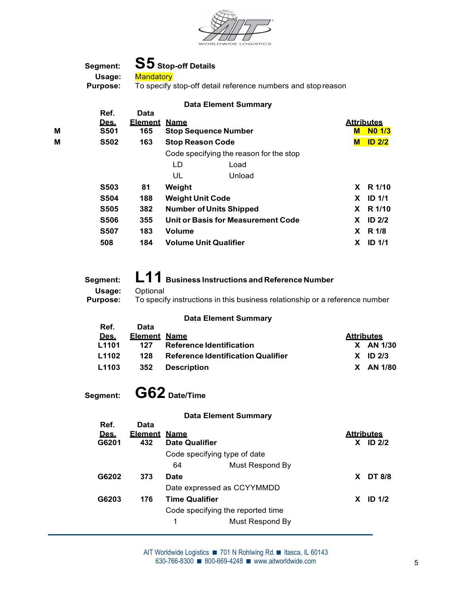

Data Element Summary



|   | Ref.<br>Des. | <b>Data</b><br>Element | <u>Name</u>                  |                                         |          | <b>Attributes</b> |  |
|---|--------------|------------------------|------------------------------|-----------------------------------------|----------|-------------------|--|
| М | <b>S501</b>  | 165                    |                              | <b>Stop Sequence Number</b>             |          | <b>M</b> NO 1/3   |  |
| М | <b>S502</b>  | 163                    | <b>Stop Reason Code</b>      |                                         |          | $M$ ID 2/2        |  |
|   |              |                        |                              | Code specifying the reason for the stop |          |                   |  |
|   |              |                        | LD                           | Load                                    |          |                   |  |
|   |              |                        | UL                           | Unload                                  |          |                   |  |
|   | <b>S503</b>  | 81                     | Weight                       |                                         |          | X R 1/10          |  |
|   | <b>S504</b>  | 188                    | <b>Weight Unit Code</b>      |                                         | <b>X</b> | <b>ID 1/1</b>     |  |
|   | <b>S505</b>  | 382                    |                              | <b>Number of Units Shipped</b>          |          | X R 1/10          |  |
|   | <b>S506</b>  | 355                    |                              | Unit or Basis for Measurement Code      | X.       | ID $2/2$          |  |
|   | <b>S507</b>  | 183                    | <b>Volume</b>                |                                         |          | $X$ R 1/8         |  |
|   | 508          | 184                    | <b>Volume Unit Qualifier</b> |                                         | X.       | <b>ID 1/1</b>     |  |
|   |              |                        |                              |                                         |          |                   |  |

Segment: L11 Business Instructions and Reference Number<br>Usage: Optional Optional<br>Telepositivipatruotionalin this busin

| Purpose: | To specify instructions in this business relationship or a reference number |
|----------|-----------------------------------------------------------------------------|
|          | <b>Data Element Summary</b>                                                 |
| Ref.     | Data                                                                        |

| Des. |                         | <b>Attributes</b>                                                                                                  |             |
|------|-------------------------|--------------------------------------------------------------------------------------------------------------------|-------------|
|      | 127                     |                                                                                                                    | $X$ AN 1/30 |
|      | 128                     |                                                                                                                    | $X$ ID 2/3  |
|      | 352                     |                                                                                                                    | X AN 1/80   |
|      | L1101<br>L1102<br>L1103 | Element Name<br><b>Reference Identification</b><br><b>Reference Identification Qualifier</b><br><b>Description</b> |             |

Segment: G62 Date/Time

| <b>Data Element Summary</b> |  |
|-----------------------------|--|
|-----------------------------|--|

| Ref.        | <b>Data</b>         |                       |                                   |                         |  |
|-------------|---------------------|-----------------------|-----------------------------------|-------------------------|--|
| <u>Des.</u> | <b>Element Name</b> |                       |                                   | <b>Attributes</b>       |  |
| G6201       | 432                 | <b>Date Qualifier</b> |                                   | <b>ID 2/2</b><br>X.     |  |
|             |                     |                       | Code specifying type of date      |                         |  |
|             |                     | 64                    | Must Respond By                   |                         |  |
| G6202       | 373                 | <b>Date</b>           |                                   | <b>DT 8/8</b><br>X.     |  |
|             |                     |                       | Date expressed as CCYYMMDD        |                         |  |
| G6203       | 176                 | <b>Time Qualifier</b> |                                   | ID <sub>1/2</sub><br>X. |  |
|             |                     |                       | Code specifying the reported time |                         |  |
|             |                     | 1                     | Must Respond By                   |                         |  |
|             |                     |                       |                                   |                         |  |

 $630-766-8300$   $\blacksquare$  800-669-4248  $\blacksquare$  www.aitworldwide.com AIT Worldwide Logistics ■ 701 N Rohlwing Rd. ■ Itasca, IL 60143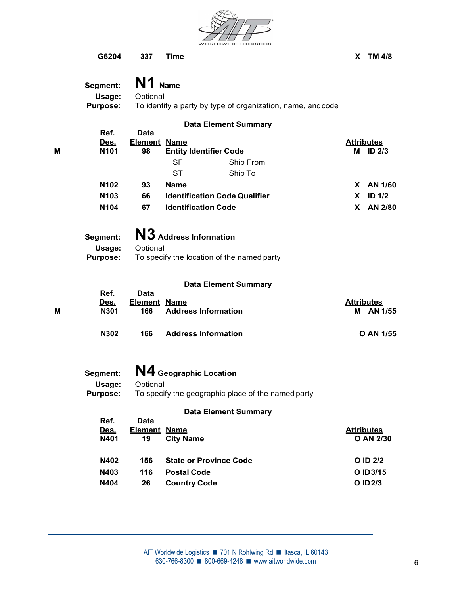

G6204 337 Time X TM 4/8

|   | Segment:                  | N1 Name                                                                |                                      |                   |  |  |  |  |
|---|---------------------------|------------------------------------------------------------------------|--------------------------------------|-------------------|--|--|--|--|
|   | Usage:<br><b>Purpose:</b> | Optional<br>To identify a party by type of organization, name, andcode |                                      |                   |  |  |  |  |
|   |                           |                                                                        | <b>Data Element Summary</b>          |                   |  |  |  |  |
|   | Ref.<br>Des.              | <b>Data</b><br><b>Element Name</b>                                     |                                      | <b>Attributes</b> |  |  |  |  |
| M | N101                      | 98                                                                     | <b>Entity Identifier Code</b>        | M ID 2/3          |  |  |  |  |
|   |                           |                                                                        | <b>SF</b><br>Ship From               |                   |  |  |  |  |
|   |                           |                                                                        | <b>ST</b><br>Ship To                 |                   |  |  |  |  |
|   | N102                      | 93                                                                     | <b>Name</b>                          | X AN 1/60         |  |  |  |  |
|   | N103                      | 66                                                                     | <b>Identification Code Qualifier</b> | $X$ ID $1/2$      |  |  |  |  |
|   | N104                      | 67                                                                     | <b>Identification Code</b>           | X AN 2/80         |  |  |  |  |
|   | Segment:                  |                                                                        | N3 Address Information               |                   |  |  |  |  |
|   | Usage:                    | Optional                                                               |                                      |                   |  |  |  |  |
|   | <b>Purpose:</b>           | To specify the location of the named party                             |                                      |                   |  |  |  |  |
|   |                           |                                                                        |                                      |                   |  |  |  |  |
|   | Ref.                      | <b>Data</b>                                                            | <b>Data Element Summary</b>          |                   |  |  |  |  |
|   | Des.                      | <b>Element Name</b>                                                    |                                      | <b>Attributes</b> |  |  |  |  |
| M | N301                      | 166                                                                    | <b>Address Information</b>           | M AN 1/55         |  |  |  |  |
|   | N302                      | 166                                                                    | <b>Address Information</b>           | O AN 1/55         |  |  |  |  |
|   |                           |                                                                        |                                      |                   |  |  |  |  |
|   | Segment:                  |                                                                        | N4 Geographic Location               |                   |  |  |  |  |
|   | Usage:                    | Optional                                                               |                                      |                   |  |  |  |  |
|   | <b>Purpose:</b>           | To specify the geographic place of the named party                     |                                      |                   |  |  |  |  |
|   | Ref.                      | <b>Data</b>                                                            | <b>Data Element Summary</b>          |                   |  |  |  |  |
|   | Des.                      | <b>Element Name</b>                                                    |                                      | <b>Attributes</b> |  |  |  |  |
|   | N401                      | 19                                                                     | <b>City Name</b>                     | O AN 2/30         |  |  |  |  |
|   | N402                      | 156                                                                    | <b>State or Province Code</b>        | O ID 2/2          |  |  |  |  |
|   | N403                      | 116                                                                    | <b>Postal Code</b>                   | O ID 3/15         |  |  |  |  |
|   | N404                      | 26                                                                     | <b>Country Code</b>                  | O ID 2/3          |  |  |  |  |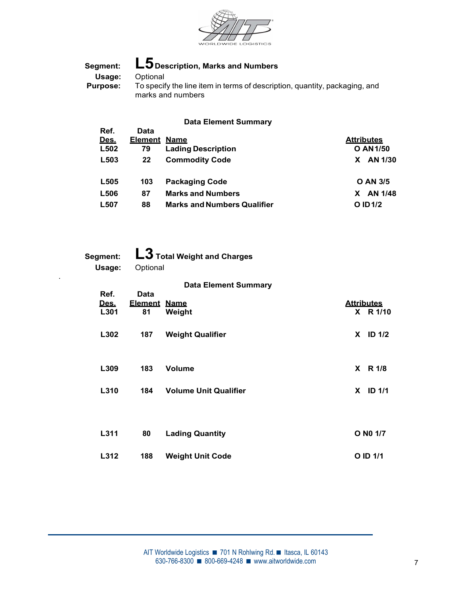

# Segment: L5 Description, Marks and Numbers<br>Usage: Optional<br>Purpose: To specify the line item in terms of descript Optional  $\overline{\mathrm{T}}\mathrm{o}$  specify the line item in terms of description, quantity, packaging, and marks and numbers

## Data Element Summary

| Ref. | Data                |                                    |                   |
|------|---------------------|------------------------------------|-------------------|
| Des. | <b>Element Name</b> |                                    | <b>Attributes</b> |
| L502 | 79                  | <b>Lading Description</b>          | <b>O AN 1/50</b>  |
| L503 | 22                  | <b>Commodity Code</b>              | AN 1/30<br>X.     |
|      |                     |                                    |                   |
| L505 | 103                 | <b>Packaging Code</b>              | <b>O AN 3/5</b>   |
| L506 | 87                  | <b>Marks and Numbers</b>           | AN 1/48<br>X.     |
| L507 | 88                  | <b>Marks and Numbers Qualifier</b> | O ID 1/2          |
|      |                     |                                    |                   |

| Segment:<br>Usage: |                     | L3 Total Weight and Charges<br>Optional |  |                   |  |  |  |  |  |
|--------------------|---------------------|-----------------------------------------|--|-------------------|--|--|--|--|--|
|                    |                     |                                         |  |                   |  |  |  |  |  |
| Ref.               | Data                | <b>Data Element Summary</b>             |  |                   |  |  |  |  |  |
| Des.               | <b>Element Name</b> |                                         |  | <b>Attributes</b> |  |  |  |  |  |
| L301               | 81                  | Weight                                  |  | X R 1/10          |  |  |  |  |  |
| L302               | 187                 | <b>Weight Qualifier</b>                 |  | $X$ ID 1/2        |  |  |  |  |  |
| L309               | 183                 | Volume                                  |  | X R 1/8           |  |  |  |  |  |
| L310               | 184                 | <b>Volume Unit Qualifier</b>            |  | $X$ ID 1/1        |  |  |  |  |  |
|                    |                     |                                         |  |                   |  |  |  |  |  |
| L311               | 80                  | <b>Lading Quantity</b>                  |  | O N0 1/7          |  |  |  |  |  |
| L312               | 188                 | <b>Weight Unit Code</b>                 |  | O ID 1/1          |  |  |  |  |  |
|                    |                     |                                         |  |                   |  |  |  |  |  |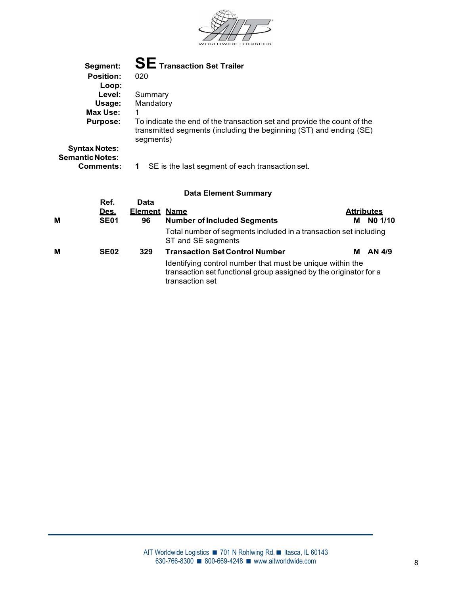

|   | Segment:                                       |                                                                                                                                                   | <b>SE</b> Transaction Set Trailer                                                                                                             |   |                   |  |
|---|------------------------------------------------|---------------------------------------------------------------------------------------------------------------------------------------------------|-----------------------------------------------------------------------------------------------------------------------------------------------|---|-------------------|--|
|   | <b>Position:</b>                               | 020                                                                                                                                               |                                                                                                                                               |   |                   |  |
|   | Loop:                                          |                                                                                                                                                   |                                                                                                                                               |   |                   |  |
|   | Level:                                         | Summary                                                                                                                                           |                                                                                                                                               |   |                   |  |
|   | Usage:                                         | Mandatory                                                                                                                                         |                                                                                                                                               |   |                   |  |
|   | <b>Max Use:</b>                                |                                                                                                                                                   |                                                                                                                                               |   |                   |  |
|   | <b>Purpose:</b>                                | segments)                                                                                                                                         | To indicate the end of the transaction set and provide the count of the<br>transmitted segments (including the beginning (ST) and ending (SE) |   |                   |  |
|   | <b>Syntax Notes:</b><br><b>Semantic Notes:</b> |                                                                                                                                                   |                                                                                                                                               |   |                   |  |
|   | <b>Comments:</b>                               | $\mathbf 1$                                                                                                                                       | SE is the last segment of each transaction set.                                                                                               |   |                   |  |
|   |                                                |                                                                                                                                                   |                                                                                                                                               |   |                   |  |
|   |                                                |                                                                                                                                                   | <b>Data Element Summary</b>                                                                                                                   |   |                   |  |
|   | Ref.                                           | Data                                                                                                                                              |                                                                                                                                               |   |                   |  |
|   | <u>Des.</u>                                    | <b>Element Name</b>                                                                                                                               |                                                                                                                                               |   | <u>Attributes</u> |  |
| М | <b>SE01</b>                                    | 96                                                                                                                                                | <b>Number of Included Segments</b>                                                                                                            | м | NO 1/10           |  |
|   |                                                |                                                                                                                                                   | Total number of segments included in a transaction set including<br>ST and SE segments                                                        |   |                   |  |
| М | <b>SE02</b>                                    | 329                                                                                                                                               | <b>Transaction Set Control Number</b>                                                                                                         | м | AN 4/9            |  |
|   |                                                | Identifying control number that must be unique within the<br>transaction set functional group assigned by the originator for a<br>transaction set |                                                                                                                                               |   |                   |  |